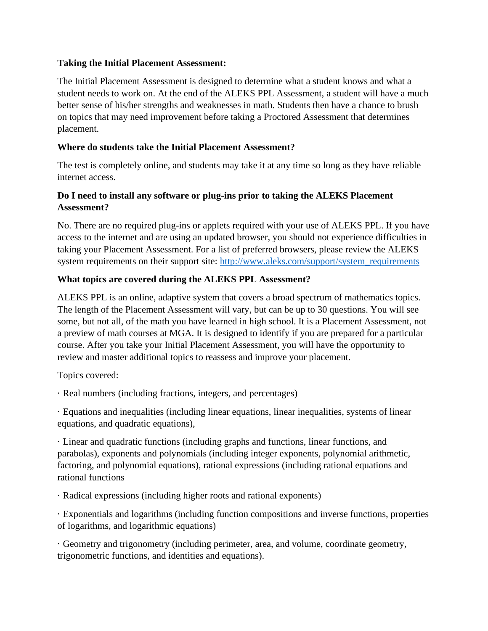#### **Taking the Initial Placement Assessment:**

The Initial Placement Assessment is designed to determine what a student knows and what a student needs to work on. At the end of the ALEKS PPL Assessment, a student will have a much better sense of his/her strengths and weaknesses in math. Students then have a chance to brush on topics that may need improvement before taking a Proctored Assessment that determines placement.

## **Where do students take the Initial Placement Assessment?**

The test is completely online, and students may take it at any time so long as they have reliable internet access.

# **Do I need to install any software or plug-ins prior to taking the ALEKS Placement Assessment?**

No. There are no required plug-ins or applets required with your use of ALEKS PPL. If you have access to the internet and are using an updated browser, you should not experience difficulties in taking your Placement Assessment. For a list of preferred browsers, please review the ALEKS system requirements on their support site: [http://www.aleks.com/support/system\\_requirements](http://www.aleks.com/support/system_requirements)

# **What topics are covered during the ALEKS PPL Assessment?**

ALEKS PPL is an online, adaptive system that covers a broad spectrum of mathematics topics. The length of the Placement Assessment will vary, but can be up to 30 questions. You will see some, but not all, of the math you have learned in high school. It is a Placement Assessment, not a preview of math courses at MGA. It is designed to identify if you are prepared for a particular course. After you take your Initial Placement Assessment, you will have the opportunity to review and master additional topics to reassess and improve your placement.

Topics covered:

· Real numbers (including fractions, integers, and percentages)

· Equations and inequalities (including linear equations, linear inequalities, systems of linear equations, and quadratic equations),

· Linear and quadratic functions (including graphs and functions, linear functions, and parabolas), exponents and polynomials (including integer exponents, polynomial arithmetic, factoring, and polynomial equations), rational expressions (including rational equations and rational functions

· Radical expressions (including higher roots and rational exponents)

· Exponentials and logarithms (including function compositions and inverse functions, properties of logarithms, and logarithmic equations)

· Geometry and trigonometry (including perimeter, area, and volume, coordinate geometry, trigonometric functions, and identities and equations).